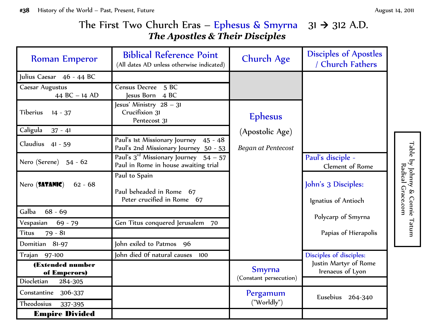Table by Johnny & Connie Tatum by Johnny & Connie Tatum

Radical Grace.com Radical Grace.com

## The First Two Church Eras – Ephesus & Smyrna  $31 \rightarrow 312$  A.D. *The Apostles & Their Disciples*

| <b>Roman Emperor</b>              | <b>Biblical Reference Point</b><br>(All dates AD unless otherwise indicated)         | <b>Church Age</b>         | <b>Disciples of Apostles</b><br>/ Church Fathers |
|-----------------------------------|--------------------------------------------------------------------------------------|---------------------------|--------------------------------------------------|
| Julius Caesar 46 - 44 BC          |                                                                                      |                           |                                                  |
| Caesar Augustus<br>44 BC - 14 AD  | Census Decree 5 BC<br>Jesus Born 4 BC                                                |                           |                                                  |
| Tiberius<br>$14 - 37$             | Jesus' Ministry 28 - 31<br>Crucifixion 31<br>Pentecost 31                            | <b>Ephesus</b>            |                                                  |
| Caligula<br>$37 - 41$             |                                                                                      | (Apostolic Age)           |                                                  |
| Claudius<br>$41 - 59$             | Paul's 1st Missionary Journey 45 - 48<br>Paul's 2nd Missionary Journey 50 - 53       | <b>Began at Pentecost</b> |                                                  |
| Nero (Serene) 54 - 62             | Paul's $3^{rd}$ Missionary Journey $54 - 57$<br>Paul in Rome in house awaiting trial |                           | Paul's disciple -<br>Clement of Rome             |
| Nero (SATANIC)<br>$62 - 68$       | Paul to Spain<br>Paul beheaded in Rome 67<br>Peter crucified in Rome 67              |                           | John's 3 Disciples:<br>Ignatius of Antioch       |
| Galba<br>$68 - 69$                |                                                                                      |                           |                                                  |
| Vespasian<br>$69 - 79$            | Gen Titus conquered Jerusalem 70                                                     |                           | Polycarp of Smyrna                               |
| $79 - 81$<br><b>Titus</b>         |                                                                                      |                           | Papias of Hierapolis                             |
| Domitian 81-97                    | John exiled to Patmos 96                                                             |                           |                                                  |
| Trajan 97-100                     | John died Of natural causes<br>100                                                   |                           | Disciples of disciples:                          |
| (Extended number<br>of Emperors)  |                                                                                      | <b>Smyrna</b>             | Justin Martyr of Rome<br>Irenaeus of Lyon        |
| Diocletian<br>284-305             |                                                                                      | (Constant persecution)    |                                                  |
| Constantine 306-337<br>Theodosius |                                                                                      | Pergamum<br>("Worldly")   | Eusebius<br>264-340                              |
| 337-395<br><b>Empire Divided</b>  |                                                                                      |                           |                                                  |